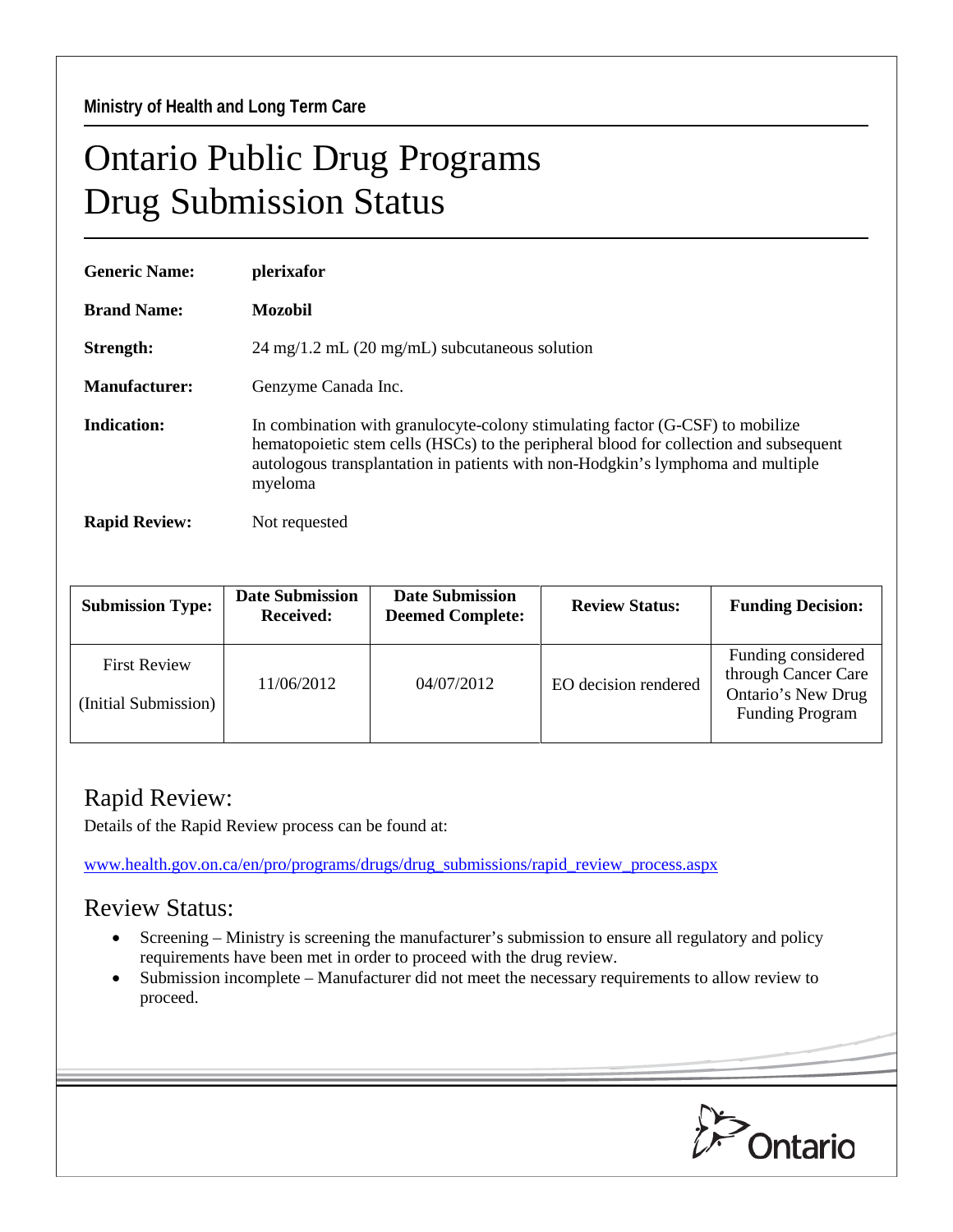**Ministry of Health and Long Term Care** 

## Ontario Public Drug Programs Drug Submission Status

| <b>Generic Name:</b> | plerixafor                                                                                                                                                                                                                                                           |  |  |  |
|----------------------|----------------------------------------------------------------------------------------------------------------------------------------------------------------------------------------------------------------------------------------------------------------------|--|--|--|
| <b>Brand Name:</b>   | Mozobil                                                                                                                                                                                                                                                              |  |  |  |
| Strength:            | $24 \text{ mg}/1.2 \text{ mL}$ (20 mg/mL) subcutaneous solution                                                                                                                                                                                                      |  |  |  |
| Manufacturer:        | Genzyme Canada Inc.                                                                                                                                                                                                                                                  |  |  |  |
| Indication:          | In combination with granulocyte-colony stimulating factor (G-CSF) to mobilize<br>hematopoietic stem cells (HSCs) to the peripheral blood for collection and subsequent<br>autologous transplantation in patients with non-Hodgkin's lymphoma and multiple<br>myeloma |  |  |  |
| <b>Rapid Review:</b> | Not requested                                                                                                                                                                                                                                                        |  |  |  |

| <b>Submission Type:</b>                     | <b>Date Submission</b><br><b>Received:</b> | <b>Date Submission</b><br><b>Deemed Complete:</b> | <b>Review Status:</b> | <b>Funding Decision:</b>                                                                  |
|---------------------------------------------|--------------------------------------------|---------------------------------------------------|-----------------------|-------------------------------------------------------------------------------------------|
| <b>First Review</b><br>(Initial Submission) | 11/06/2012                                 | 04/07/2012                                        | EO decision rendered  | Funding considered<br>through Cancer Care<br>Ontario's New Drug<br><b>Funding Program</b> |

## Rapid Review:

Details of the Rapid Review process can be found at:

[www.health.gov.on.ca/en/pro/programs/drugs/drug\\_submissions/rapid\\_review\\_process.aspx](http://www.health.gov.on.ca/en/pro/programs/drugs/drug_submissions/rapid_review_process.aspx)

## Review Status:

- Screening Ministry is screening the manufacturer's submission to ensure all regulatory and policy requirements have been met in order to proceed with the drug review.
- Submission incomplete Manufacturer did not meet the necessary requirements to allow review to proceed.